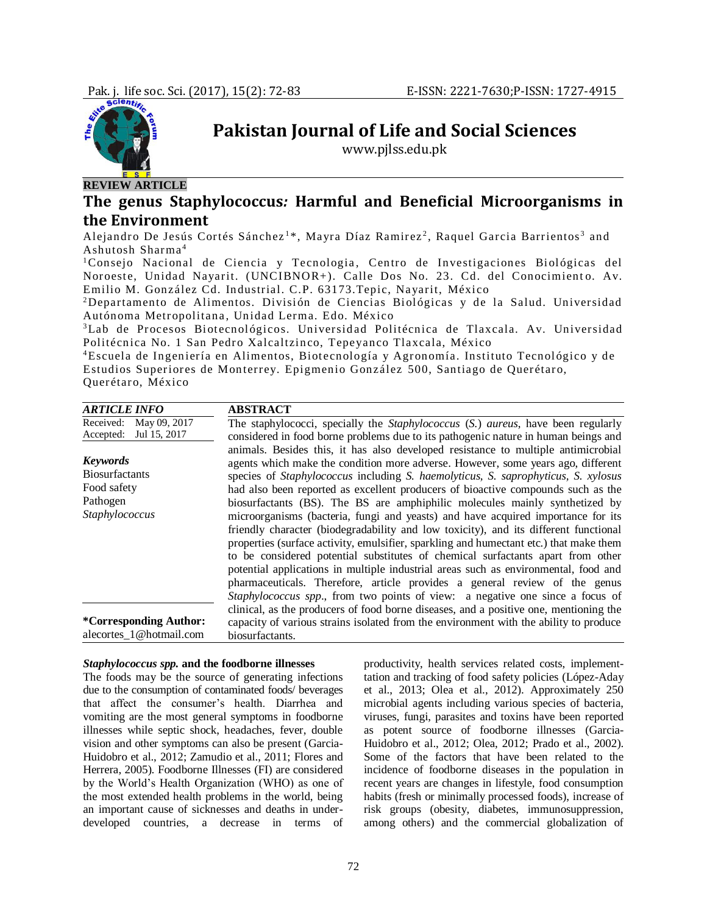

# **REVIEW ARTICLE**

# **The genus Staphylococcus***:* **Harmful and Beneficial Microorganisms in the Environment**

**Pakistan Journal of Life and Social Sciences** www.pjlss.edu.pk

Alejandro De Jesús Cortés Sánchez<sup>1</sup>\*, Mayra Díaz Ramirez<sup>2</sup>, Raquel Garcia Barrientos<sup>3</sup> and Ashutosh Sharma <sup>4</sup>

<sup>1</sup>Consejo Nacional de Ciencia y Tecnologia, Centro de Investigaciones Biológicas del Noroeste, Unidad Nayarit. (UNCIBNOR+). Calle Dos No. 23. Cd. del Conocimiento. Av. Emilio M. González Cd. Industrial. C.P. 63173.Tepic, Na yarit, México

<sup>2</sup>Departamento de Alimentos. División de Ciencias Biológicas y de la Salud. Universidad Autónoma Metropolitana, Unidad Lerma. Edo. México

<sup>3</sup>Lab de Procesos Biotecnológicos. Universidad Politécnica de Tlaxcala. Av. Universidad Politécnica No. 1 San Pedro Xalcaltzinco, Tepeyanco Tlaxcala, México

<sup>4</sup>Escuela de Ingeniería en Alimentos, Biotecnología y Agronomía. Instituto Tecnológico y de Estudios Superiores de Monterrey. Epigmenio González 500, Santiago de Querétaro, Querétaro, México

| <b>ARTICLE INFO</b>           | <b>ABSTRACT</b>                                                                                 |
|-------------------------------|-------------------------------------------------------------------------------------------------|
| Received: May 09, 2017        | The staphylococci, specially the <i>Staphylococcus</i> (S.) <i>aureus</i> , have been regularly |
| Accepted: Jul 15, 2017        | considered in food borne problems due to its pathogenic nature in human beings and              |
|                               | animals. Besides this, it has also developed resistance to multiple antimicrobial               |
| <b>Keywords</b>               | agents which make the condition more adverse. However, some years ago, different                |
| <b>Biosurfactants</b>         | species of <i>Staphylococcus</i> including <i>S. haemolyticus, S. saprophyticus, S. xylosus</i> |
| Food safety                   | had also been reported as excellent producers of bioactive compounds such as the                |
| Pathogen                      | biosurfactants (BS). The BS are amphiphilic molecules mainly synthetized by                     |
| Staphylococcus                | microorganisms (bacteria, fungi and yeasts) and have acquired importance for its                |
|                               | friendly character (biodegradability and low toxicity), and its different functional            |
|                               | properties (surface activity, emulsifier, sparkling and humectant etc.) that make them          |
|                               | to be considered potential substitutes of chemical surfactants apart from other                 |
|                               | potential applications in multiple industrial areas such as environmental, food and             |
|                               | pharmaceuticals. Therefore, article provides a general review of the genus                      |
|                               | <i>Staphylococcus spp.</i> , from two points of view: a negative one since a focus of           |
|                               | clinical, as the producers of food borne diseases, and a positive one, mentioning the           |
| <i>*Corresponding Author:</i> | capacity of various strains isolated from the environment with the ability to produce           |
| alecortes 1@hotmail.com       | biosurfactants.                                                                                 |

#### *Staphylococcus spp.* **and the foodborne illnesses**

The foods may be the source of generating infections due to the consumption of contaminated foods/ beverages that affect the consumer's health. Diarrhea and vomiting are the most general symptoms in foodborne illnesses while septic shock, headaches, fever, double vision and other symptoms can also be present (Garcia-Huidobro et al., 2012; Zamudio et al., 2011; Flores and Herrera, 2005). Foodborne Illnesses (FI) are considered by the World's Health Organization (WHO) as one of the most extended health problems in the world, being an important cause of sicknesses and deaths in underdeveloped countries, a decrease in terms of productivity, health services related costs, implementtation and tracking of food safety policies (López-Aday et al., 2013; Olea et al., 2012). Approximately 250 microbial agents including various species of bacteria, viruses, fungi, parasites and toxins have been reported as potent source of foodborne illnesses (Garcia-Huidobro et al., 2012; Olea, 2012; Prado et al., 2002). Some of the factors that have been related to the incidence of foodborne diseases in the population in recent years are changes in lifestyle, food consumption habits (fresh or minimally processed foods), increase of risk groups (obesity, diabetes, immunosuppression, among others) and the commercial globalization of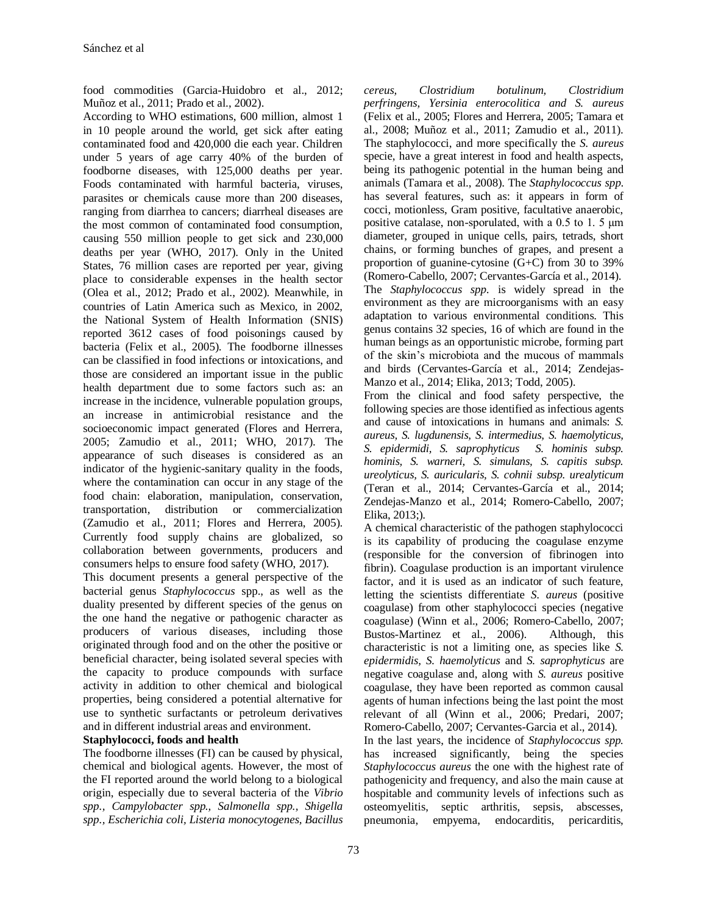food commodities (Garcia-Huidobro et al., 2012; Muñoz et al., 2011; Prado et al., 2002).

According to WHO estimations, 600 million, almost 1 in 10 people around the world, get sick after eating contaminated food and 420,000 die each year. Children under 5 years of age carry 40% of the burden of foodborne diseases, with 125,000 deaths per year. Foods contaminated with harmful bacteria, viruses, parasites or chemicals cause more than 200 diseases, ranging from diarrhea to cancers; diarrheal diseases are the most common of contaminated food consumption, causing 550 million people to get sick and 230,000 deaths per year (WHO, 2017). Only in the United States, 76 million cases are reported per year, giving place to considerable expenses in the health sector (Olea et al., 2012; Prado et al., 2002). Meanwhile, in countries of Latin America such as Mexico, in 2002, the National System of Health Information (SNIS) reported 3612 cases of food poisonings caused by bacteria (Felix et al., 2005). The foodborne illnesses can be classified in food infections or intoxications, and those are considered an important issue in the public health department due to some factors such as: an increase in the incidence, vulnerable population groups, an increase in antimicrobial resistance and the socioeconomic impact generated (Flores and Herrera, 2005; Zamudio et al., 2011; WHO, 2017). The appearance of such diseases is considered as an indicator of the hygienic-sanitary quality in the foods, where the contamination can occur in any stage of the food chain: elaboration, manipulation, conservation, transportation, distribution or commercialization (Zamudio et al., 2011; Flores and Herrera, 2005). Currently food supply chains are globalized, so collaboration between governments, producers and consumers helps to ensure food safety (WHO, 2017).

This document presents a general perspective of the bacterial genus *Staphylococcus* spp., as well as the duality presented by different species of the genus on the one hand the negative or pathogenic character as producers of various diseases, including those originated through food and on the other the positive or beneficial character, being isolated several species with the capacity to produce compounds with surface activity in addition to other chemical and biological properties, being considered a potential alternative for use to synthetic surfactants or petroleum derivatives and in different industrial areas and environment.

# **Staphylococci, foods and health**

The foodborne illnesses (FI) can be caused by physical, chemical and biological agents. However, the most of the FI reported around the world belong to a biological origin, especially due to several bacteria of the *Vibrio spp., Campylobacter spp., Salmonella spp., Shigella spp., Escherichia coli, Listeria monocytogenes, Bacillus*

*cereus, Clostridium botulinum, Clostridium perfringens, Yersinia enterocolitica and S. aureus* (Felix et al., 2005; Flores and Herrera, 2005; Tamara et al., 2008; Muñoz et al., 2011; Zamudio et al., 2011). The staphylococci, and more specifically the *S. aureus* specie, have a great interest in food and health aspects, being its pathogenic potential in the human being and animals (Tamara et al., 2008). The *Staphylococcus spp*. has several features, such as: it appears in form of cocci, motionless, Gram positive, facultative anaerobic, positive catalase, non-sporulated, with a 0.5 to 1. 5 μm diameter, grouped in unique cells, pairs, tetrads, short chains, or forming bunches of grapes, and present a proportion of guanine-cytosine (G+C) from 30 to 39% (Romero-Cabello, 2007; Cervantes-García et al., 2014). The *Staphylococcus spp.* is widely spread in the environment as they are microorganisms with an easy adaptation to various environmental conditions. This genus contains 32 species, 16 of which are found in the human beings as an opportunistic microbe, forming part of the skin's microbiota and the mucous of mammals and birds (Cervantes-García et al., 2014; Zendejas-Manzo et al., 2014; Elika, 2013; Todd, 2005).

From the clinical and food safety perspective, the following species are those identified as infectious agents and cause of intoxications in humans and animals: *S. aureus, S. lugdunensis, S. intermedius, S. haemolyticus, S. epidermidi, S. saprophyticus S. hominis subsp. hominis, S. warneri, S. simulans, S. capitis subsp. ureolyticus, S. auricularis, S. cohnii subsp. urealyticum* (Teran et al., 2014; Cervantes-García et al., 2014; Zendejas-Manzo et al., 2014; Romero-Cabello, 2007; Elika, 2013;).

A chemical characteristic of the pathogen staphylococci is its capability of producing the coagulase enzyme (responsible for the conversion of fibrinogen into fibrin). Coagulase production is an important virulence factor, and it is used as an indicator of such feature, letting the scientists differentiate *S. aureus* (positive coagulase) from other staphylococci species (negative coagulase) (Winn et al., 2006; Romero-Cabello, 2007; Bustos-Martinez et al., 2006). Although, this characteristic is not a limiting one, as species like *S. epidermidis, S. haemolyticus* and *S. saprophyticus* are negative coagulase and, along with *S. aureus* positive coagulase, they have been reported as common causal agents of human infections being the last point the most relevant of all (Winn et al., 2006; Predari, 2007; Romero-Cabello, 2007; Cervantes-Garcia et al., 2014).

In the last years, the incidence of *Staphylococcus spp.* has increased significantly, being the species *Staphylococcus aureus* the one with the highest rate of pathogenicity and frequency, and also the main cause at hospitable and community levels of infections such as osteomyelitis, septic arthritis, sepsis, abscesses, pneumonia, empyema, endocarditis, pericarditis,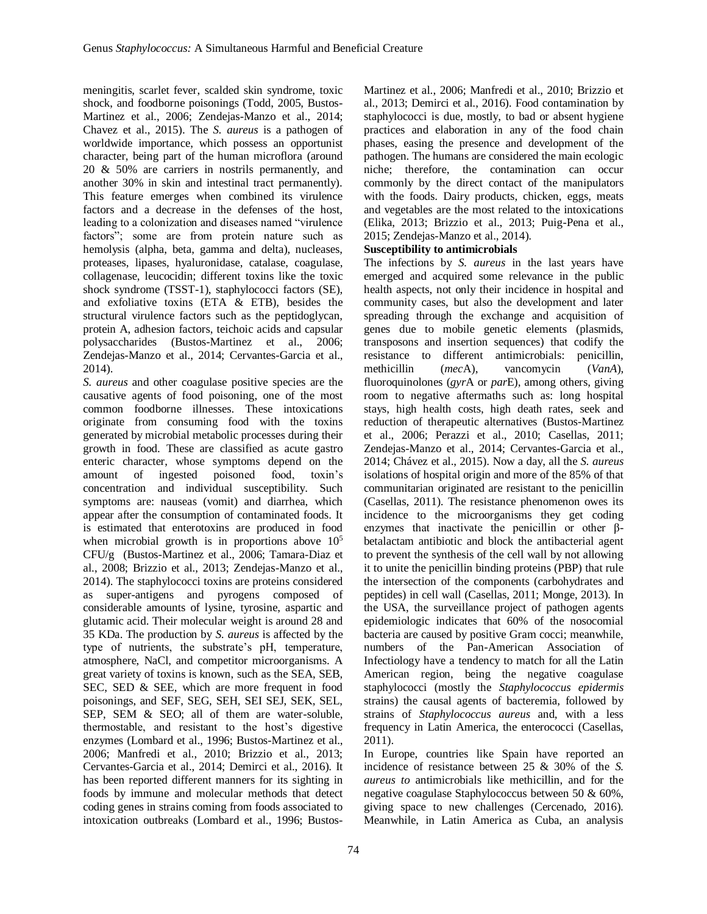meningitis, scarlet fever, scalded skin syndrome, toxic shock, and foodborne poisonings (Todd, 2005, Bustos-Martinez et al., 2006; Zendejas-Manzo et al., 2014; Chavez et al., 2015). The *S. aureus* is a pathogen of worldwide importance, which possess an opportunist character, being part of the human microflora (around 20 & 50% are carriers in nostrils permanently, and another 30% in skin and intestinal tract permanently). This feature emerges when combined its virulence factors and a decrease in the defenses of the host, leading to a colonization and diseases named "virulence factors"; some are from protein nature such as hemolysis (alpha, beta, gamma and delta), nucleases, proteases, lipases, hyaluronidase, catalase, coagulase, collagenase, leucocidin; different toxins like the toxic shock syndrome (TSST-1), staphylococci factors (SE), and exfoliative toxins (ETA & ETB), besides the structural virulence factors such as the peptidoglycan, protein A, adhesion factors, teichoic acids and capsular polysaccharides (Bustos-Martinez et al., 2006; Zendejas-Manzo et al., 2014; Cervantes-Garcia et al., 2014).

*S. aureus* and other coagulase positive species are the causative agents of food poisoning, one of the most common foodborne illnesses. These intoxications originate from consuming food with the toxins generated by microbial metabolic processes during their growth in food. These are classified as acute gastro enteric character, whose symptoms depend on the amount of ingested poisoned food, toxin's concentration and individual susceptibility. Such symptoms are: nauseas (vomit) and diarrhea, which appear after the consumption of contaminated foods. It is estimated that enterotoxins are produced in food when microbial growth is in proportions above  $10<sup>5</sup>$ CFU/g (Bustos-Martinez et al., 2006; Tamara-Diaz et al., 2008; Brizzio et al., 2013; Zendejas-Manzo et al., 2014). The staphylococci toxins are proteins considered as super-antigens and pyrogens composed of considerable amounts of lysine, tyrosine, aspartic and glutamic acid. Their molecular weight is around 28 and 35 KDa. The production by *S. aureus* is affected by the type of nutrients, the substrate's pH, temperature, atmosphere, NaCl, and competitor microorganisms. A great variety of toxins is known, such as the SEA, SEB, SEC, SED & SEE, which are more frequent in food poisonings, and SEF, SEG, SEH, SEI SEJ, SEK, SEL, SEP, SEM & SEO; all of them are water-soluble, thermostable, and resistant to the host's digestive enzymes (Lombard et al., 1996; Bustos-Martinez et al., 2006; Manfredi et al., 2010; Brizzio et al., 2013; Cervantes-Garcia et al., 2014; Demirci et al., 2016). It has been reported different manners for its sighting in foods by immune and molecular methods that detect coding genes in strains coming from foods associated to intoxication outbreaks (Lombard et al., 1996; BustosMartinez et al., 2006; Manfredi et al., 2010; Brizzio et al., 2013; Demirci et al., 2016). Food contamination by staphylococci is due, mostly, to bad or absent hygiene practices and elaboration in any of the food chain phases, easing the presence and development of the pathogen. The humans are considered the main ecologic niche; therefore, the contamination can occur commonly by the direct contact of the manipulators with the foods. Dairy products, chicken, eggs, meats and vegetables are the most related to the intoxications (Elika, 2013; Brizzio et al., 2013; Puig-Pena et al., 2015; Zendejas-Manzo et al., 2014).

## **Susceptibility to antimicrobials**

The infections by *S. aureus* in the last years have emerged and acquired some relevance in the public health aspects, not only their incidence in hospital and community cases, but also the development and later spreading through the exchange and acquisition of genes due to mobile genetic elements (plasmids, transposons and insertion sequences) that codify the resistance to different antimicrobials: penicillin, methicillin (*mec*A), vancomycin (*VanA*), fluoroquinolones (*gyr*A or *par*E), among others, giving room to negative aftermaths such as: long hospital stays, high health costs, high death rates, seek and reduction of therapeutic alternatives (Bustos-Martinez et al., 2006; Perazzi et al., 2010; Casellas, 2011; Zendejas-Manzo et al., 2014; Cervantes-Garcia et al., 2014; Chávez et al., 2015). Now a day, all the *S. aureus* isolations of hospital origin and more of the 85% of that communitarian originated are resistant to the penicillin (Casellas, 2011). The resistance phenomenon owes its incidence to the microorganisms they get coding enzymes that inactivate the penicillin or other  $\beta$ betalactam antibiotic and block the antibacterial agent to prevent the synthesis of the cell wall by not allowing it to unite the penicillin binding proteins (PBP) that rule the intersection of the components (carbohydrates and peptides) in cell wall (Casellas, 2011; Monge, 2013). In the USA, the surveillance project of pathogen agents epidemiologic indicates that 60% of the nosocomial bacteria are caused by positive Gram cocci; meanwhile, numbers of the Pan-American Association of Infectiology have a tendency to match for all the Latin American region, being the negative coagulase staphylococci (mostly the *Staphylococcus epidermis* strains) the causal agents of bacteremia, followed by strains of *Staphylococcus aureus* and, with a less frequency in Latin America, the enterococci (Casellas, 2011).

In Europe, countries like Spain have reported an incidence of resistance between 25 & 30% of the *S. aureus to* antimicrobials like methicillin, and for the negative coagulase Staphylococcus between 50 & 60%, giving space to new challenges (Cercenado, 2016). Meanwhile, in Latin America as Cuba, an analysis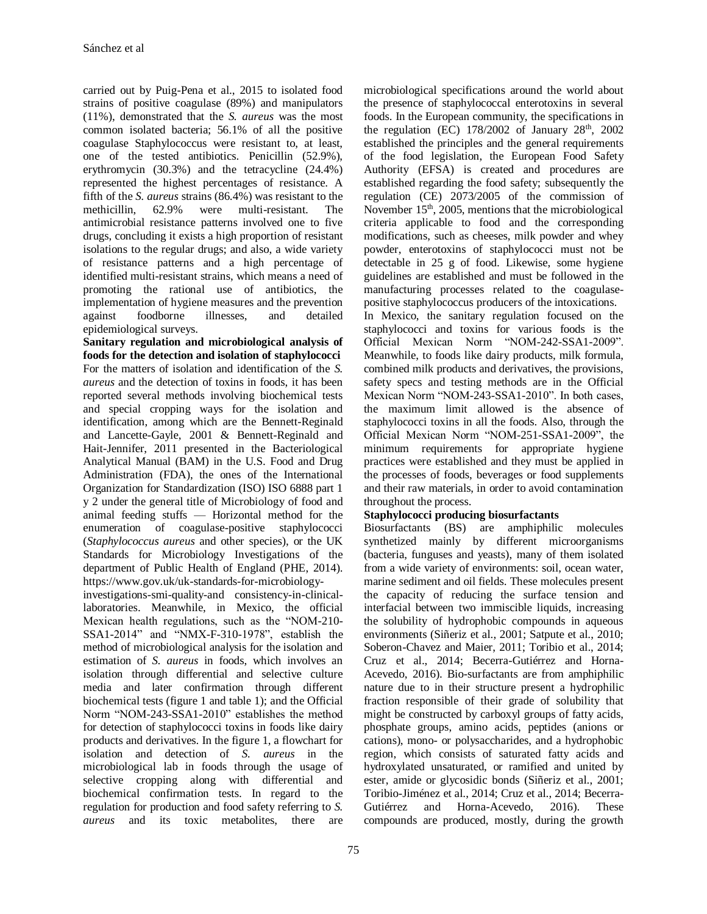carried out by Puig-Pena et al., 2015 to isolated food strains of positive coagulase (89%) and manipulators (11%), demonstrated that the *S. aureus* was the most common isolated bacteria; 56.1% of all the positive coagulase Staphylococcus were resistant to, at least, one of the tested antibiotics. Penicillin (52.9%), erythromycin (30.3%) and the tetracycline (24.4%) represented the highest percentages of resistance. A fifth of the *S. aureus* strains (86.4%) was resistant to the methicillin, 62.9% were multi-resistant. The antimicrobial resistance patterns involved one to five drugs, concluding it exists a high proportion of resistant isolations to the regular drugs; and also, a wide variety of resistance patterns and a high percentage of identified multi-resistant strains, which means a need of promoting the rational use of antibiotics, the implementation of hygiene measures and the prevention against foodborne illnesses, and detailed epidemiological surveys.

**Sanitary regulation and microbiological analysis of foods for the detection and isolation of staphylococci** For the matters of isolation and identification of the *S. aureus* and the detection of toxins in foods, it has been reported several methods involving biochemical tests and special cropping ways for the isolation and identification, among which are the Bennett-Reginald and Lancette-Gayle, 2001 & Bennett-Reginald and Hait-Jennifer, 2011 presented in the Bacteriological Analytical Manual (BAM) in the U.S. Food and Drug Administration (FDA), the ones of the International Organization for Standardization (ISO) ISO 6888 part 1 y 2 under the general title of Microbiology of food and animal feeding stuffs — Horizontal method for the enumeration of coagulase-positive staphylococci (*Staphylococcus aureus* and other species), or the UK Standards for Microbiology Investigations of the department of Public Health of England (PHE, 2014). https://www.gov.uk/uk-standards-for-microbiology-

investigations-smi-quality-and consistency-in-clinicallaboratories. Meanwhile, in Mexico, the official Mexican health regulations, such as the "NOM-210- SSA1-2014" and "NMX-F-310-1978", establish the method of microbiological analysis for the isolation and estimation of *S. aureus* in foods, which involves an isolation through differential and selective culture media and later confirmation through different biochemical tests (figure 1 and table 1); and the Official Norm "NOM-243-SSA1-2010" establishes the method for detection of staphylococci toxins in foods like dairy products and derivatives. In the figure 1, a flowchart for isolation and detection of *S. aureus* in the microbiological lab in foods through the usage of selective cropping along with differential and biochemical confirmation tests. In regard to the regulation for production and food safety referring to *S. aureus* and its toxic metabolites, there are

microbiological specifications around the world about the presence of staphylococcal enterotoxins in several foods. In the European community, the specifications in the regulation (EC)  $178/2002$  of January  $28<sup>th</sup>$ ,  $2002$ established the principles and the general requirements of the food legislation, the European Food Safety Authority (EFSA) is created and procedures are established regarding the food safety; subsequently the regulation (CE) 2073/2005 of the commission of November  $15<sup>th</sup>$ , 2005, mentions that the microbiological criteria applicable to food and the corresponding modifications, such as cheeses, milk powder and whey powder, enterotoxins of staphylococci must not be detectable in 25 g of food. Likewise, some hygiene guidelines are established and must be followed in the manufacturing processes related to the coagulasepositive staphylococcus producers of the intoxications.

In Mexico, the sanitary regulation focused on the staphylococci and toxins for various foods is the Official Mexican Norm "NOM-242-SSA1-2009". Meanwhile, to foods like dairy products, milk formula, combined milk products and derivatives, the provisions, safety specs and testing methods are in the Official Mexican Norm "NOM-243-SSA1-2010". In both cases, the maximum limit allowed is the absence of staphylococci toxins in all the foods. Also, through the Official Mexican Norm "NOM-251-SSA1-2009", the minimum requirements for appropriate hygiene practices were established and they must be applied in the processes of foods, beverages or food supplements and their raw materials, in order to avoid contamination throughout the process.

# **Staphylococci producing biosurfactants**

Biosurfactants (BS) are amphiphilic molecules synthetized mainly by different microorganisms (bacteria, funguses and yeasts), many of them isolated from a wide variety of environments: soil, ocean water, marine sediment and oil fields. These molecules present the capacity of reducing the surface tension and interfacial between two immiscible liquids, increasing the solubility of hydrophobic compounds in aqueous environments (Siñeriz et al., 2001; Satpute et al., 2010; Soberon-Chavez and Maier, 2011; Toribio et al., 2014; Cruz et al., 2014; Becerra-Gutiérrez and Horna-Acevedo, 2016). Bio-surfactants are from amphiphilic nature due to in their structure present a hydrophilic fraction responsible of their grade of solubility that might be constructed by carboxyl groups of fatty acids, phosphate groups, amino acids, peptides (anions or cations), mono- or polysaccharides, and a hydrophobic region, which consists of saturated fatty acids and hydroxylated unsaturated, or ramified and united by ester, amide or glycosidic bonds (Siñeriz et al., 2001; Toribio-Jiménez et al., 2014; Cruz et al., 2014; Becerra-Gutiérrez and Horna-Acevedo, 2016). These compounds are produced, mostly, during the growth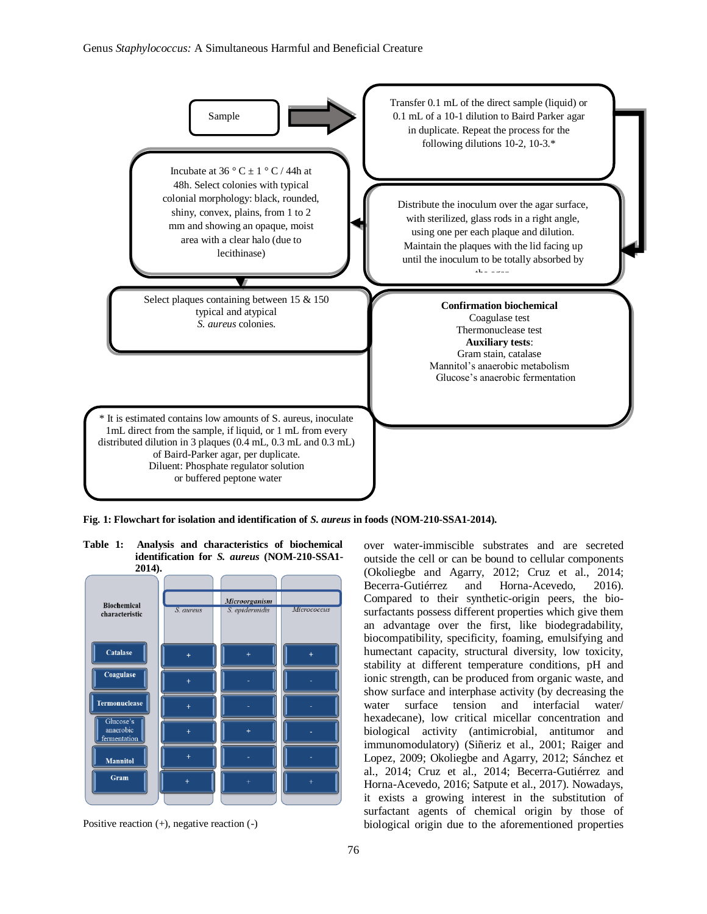

**Fig. 1: Flowchart for isolation and identification of** *S. aureus* **in foods (NOM-210-SSA1-2014).**

**Table 1: Analysis and characteristics of biochemical identification for** *S. aureus* **(NOM-210-SSA1- 2014).**



Positive reaction (+), negative reaction (-)

over water-immiscible substrates and are secreted outside the cell or can be bound to cellular components (Okoliegbe and Agarry, 2012; Cruz et al., 2014; Becerra-Gutiérrez and Horna-Acevedo, 2016). Compared to their synthetic-origin peers, the biosurfactants possess different properties which give them an advantage over the first, like biodegradability, biocompatibility, specificity, foaming, emulsifying and humectant capacity, structural diversity, low toxicity, stability at different temperature conditions, pH and ionic strength, can be produced from organic waste, and show surface and interphase activity (by decreasing the water surface tension and interfacial water/ hexadecane), low critical micellar concentration and biological activity (antimicrobial, antitumor and immunomodulatory) (Siñeriz et al., 2001; Raiger and Lopez, 2009; Okoliegbe and Agarry, 2012; Sánchez et al., 2014; Cruz et al., 2014; Becerra-Gutiérrez and Horna-Acevedo, 2016; Satpute et al., 2017). Nowadays, it exists a growing interest in the substitution of surfactant agents of chemical origin by those of biological origin due to the aforementioned properties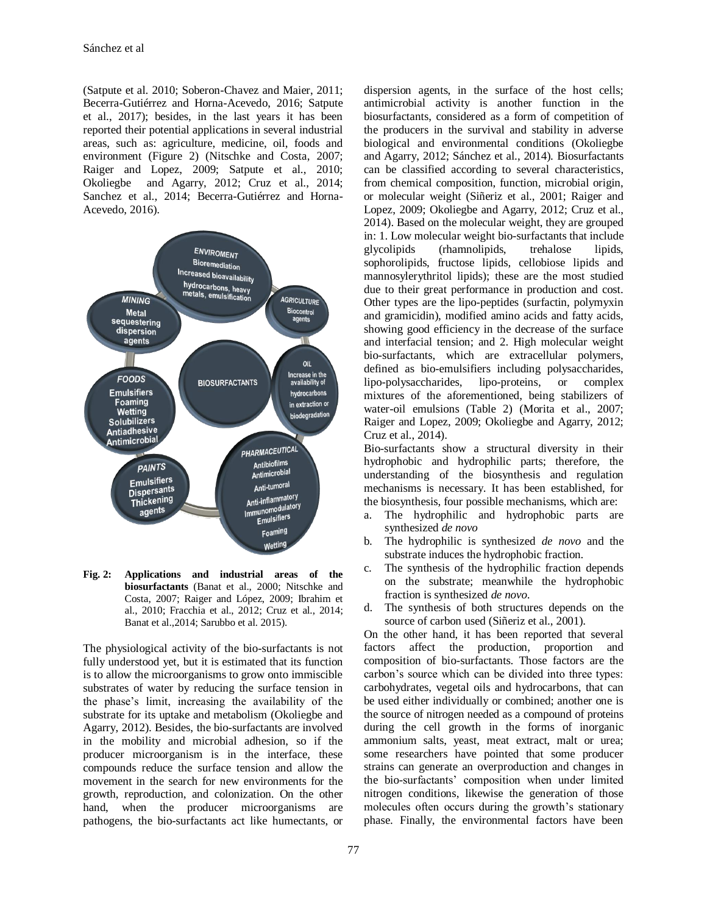(Satpute et al. 2010; Soberon-Chavez and Maier, 2011; Becerra-Gutiérrez and Horna-Acevedo, 2016; Satpute et al., 2017); besides, in the last years it has been reported their potential applications in several industrial areas, such as: agriculture, medicine, oil, foods and environment (Figure 2) (Nitschke and Costa, 2007; Raiger and Lopez, 2009; Satpute et al., 2010; Okoliegbe and Agarry, 2012; Cruz et al., 2014; Sanchez et al., 2014; Becerra-Gutiérrez and Horna-Acevedo, 2016).



**Fig. 2: Applications and industrial areas of the biosurfactants** (Banat et al., 2000; Nitschke and Costa, 2007; Raiger and López, 2009; Ibrahim et al., 2010; Fracchia et al., 2012; Cruz et al., 2014; Banat et al.,2014; Sarubbo et al. 2015).

The physiological activity of the bio-surfactants is not fully understood yet, but it is estimated that its function is to allow the microorganisms to grow onto immiscible substrates of water by reducing the surface tension in the phase's limit, increasing the availability of the substrate for its uptake and metabolism (Okoliegbe and Agarry, 2012). Besides, the bio-surfactants are involved in the mobility and microbial adhesion, so if the producer microorganism is in the interface, these compounds reduce the surface tension and allow the movement in the search for new environments for the growth, reproduction, and colonization. On the other hand, when the producer microorganisms are pathogens, the bio-surfactants act like humectants, or

dispersion agents, in the surface of the host cells; antimicrobial activity is another function in the biosurfactants, considered as a form of competition of the producers in the survival and stability in adverse biological and environmental conditions (Okoliegbe and Agarry, 2012; Sánchez et al., 2014). Biosurfactants can be classified according to several characteristics, from chemical composition, function, microbial origin, or molecular weight (Siñeriz et al., 2001; Raiger and Lopez, 2009; Okoliegbe and Agarry, 2012; Cruz et al., 2014). Based on the molecular weight, they are grouped in: 1. Low molecular weight bio-surfactants that include glycolipids (rhamnolipids, trehalose lipids, sophorolipids, fructose lipids, cellobiose lipids and mannosylerythritol lipids); these are the most studied due to their great performance in production and cost. Other types are the lipo-peptides (surfactin, polymyxin and gramicidin), modified amino acids and fatty acids, showing good efficiency in the decrease of the surface and interfacial tension; and 2. High molecular weight bio-surfactants, which are extracellular polymers, defined as bio-emulsifiers including polysaccharides, lipo-polysaccharides, lipo-proteins, or complex mixtures of the aforementioned, being stabilizers of water-oil emulsions (Table 2) (Morita et al., 2007; Raiger and Lopez, 2009; Okoliegbe and Agarry, 2012; Cruz et al., 2014).

Bio-surfactants show a structural diversity in their hydrophobic and hydrophilic parts; therefore, the understanding of the biosynthesis and regulation mechanisms is necessary. It has been established, for the biosynthesis, four possible mechanisms, which are:

- a. The hydrophilic and hydrophobic parts are synthesized *de novo*
- b. The hydrophilic is synthesized *de novo* and the substrate induces the hydrophobic fraction.
- c. The synthesis of the hydrophilic fraction depends on the substrate; meanwhile the hydrophobic fraction is synthesized *de novo*.
- d. The synthesis of both structures depends on the source of carbon used (Siñeriz et al., 2001).

On the other hand, it has been reported that several factors affect the production, proportion and composition of bio-surfactants. Those factors are the carbon's source which can be divided into three types: carbohydrates, vegetal oils and hydrocarbons, that can be used either individually or combined; another one is the source of nitrogen needed as a compound of proteins during the cell growth in the forms of inorganic ammonium salts, yeast, meat extract, malt or urea; some researchers have pointed that some producer strains can generate an overproduction and changes in the bio-surfactants' composition when under limited nitrogen conditions, likewise the generation of those molecules often occurs during the growth's stationary phase. Finally, the environmental factors have been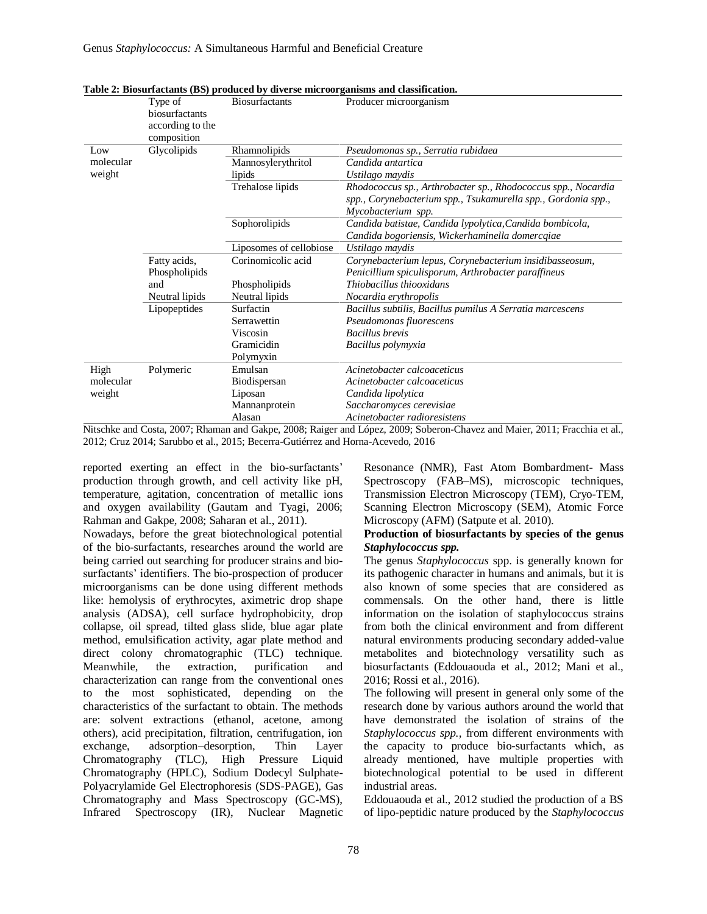|                     | Type of<br>biosurfactants<br>according to the | <b>Biosurfactants</b>   | Producer microorganism                                                                                                                               |
|---------------------|-----------------------------------------------|-------------------------|------------------------------------------------------------------------------------------------------------------------------------------------------|
| composition         |                                               |                         |                                                                                                                                                      |
| Low                 | Glycolipids                                   | Rhamnolipids            | Pseudomonas sp., Serratia rubidaea                                                                                                                   |
| molecular<br>weight |                                               | Mannosylerythritol      | Candida antartica                                                                                                                                    |
|                     |                                               | lipids                  | Ustilago maydis                                                                                                                                      |
|                     |                                               | Trehalose lipids        | Rhodococcus sp., Arthrobacter sp., Rhodococcus spp., Nocardia<br>spp., Corynebacterium spp., Tsukamurella spp., Gordonia spp.,<br>Mycobacterium spp. |
|                     |                                               | Sophorolipids           | Candida batistae, Candida lypolytica, Candida bombicola,<br>Candida bogoriensis, Wickerhaminella domercqiae                                          |
|                     |                                               | Liposomes of cellobiose | Ustilago maydis                                                                                                                                      |
|                     | Fatty acids,                                  | Corinomicolic acid      | Corynebacterium lepus, Corynebacterium insidibasseosum,                                                                                              |
|                     | Phospholipids                                 |                         | Penicillium spiculisporum, Arthrobacter paraffineus                                                                                                  |
|                     | and                                           | Phospholipids           | Thiobacillus thiooxidans                                                                                                                             |
|                     | Neutral lipids                                | Neutral lipids          | Nocardia erythropolis                                                                                                                                |
|                     | Lipopeptides                                  | Surfactin               | Bacillus subtilis, Bacillus pumilus A Serratia marcescens                                                                                            |
|                     |                                               | Serrawettin             | Pseudomonas fluorescens                                                                                                                              |
|                     |                                               | Viscosin                | <b>Bacillus</b> brevis                                                                                                                               |
|                     |                                               | Gramicidin              | Bacillus polymyxia                                                                                                                                   |
|                     |                                               | Polymyxin               |                                                                                                                                                      |
| High                | Polymeric                                     | Emulsan                 | Acinetobacter calcoaceticus                                                                                                                          |
| molecular           |                                               | Biodispersan            | Acinetobacter calcoaceticus                                                                                                                          |
| weight              |                                               | Liposan                 | Candida lipolytica                                                                                                                                   |
|                     |                                               | Mannanprotein           | Saccharomyces cerevisiae                                                                                                                             |
|                     |                                               | Alasan                  | Acinetobacter radioresistens                                                                                                                         |

**Table 2: Biosurfactants (BS) produced by diverse microorganisms and classification.**

Nitschke and Costa, 2007; Rhaman and Gakpe, 2008; Raiger and López, 2009; Soberon-Chavez and Maier, 2011; Fracchia et al., 2012; Cruz 2014; Sarubbo et al., 2015; Becerra-Gutiérrez and Horna-Acevedo, 2016

reported exerting an effect in the bio-surfactants' production through growth, and cell activity like pH, temperature, agitation, concentration of metallic ions and oxygen availability (Gautam and Tyagi, 2006; Rahman and Gakpe, 2008; Saharan et al., 2011).

Nowadays, before the great biotechnological potential of the bio-surfactants, researches around the world are being carried out searching for producer strains and biosurfactants' identifiers. The bio-prospection of producer microorganisms can be done using different methods like: hemolysis of erythrocytes, aximetric drop shape analysis (ADSA), cell surface hydrophobicity, drop collapse, oil spread, tilted glass slide, blue agar plate method, emulsification activity, agar plate method and direct colony chromatographic (TLC) technique. Meanwhile, the extraction, purification and characterization can range from the conventional ones to the most sophisticated, depending on the characteristics of the surfactant to obtain. The methods are: solvent extractions (ethanol, acetone, among others), acid precipitation, filtration, centrifugation, ion exchange, adsorption–desorption, Thin Layer Chromatography (TLC), High Pressure Liquid Chromatography (HPLC), Sodium Dodecyl Sulphate-Polyacrylamide Gel Electrophoresis (SDS-PAGE), Gas Chromatography and Mass Spectroscopy (GC-MS), Infrared Spectroscopy (IR), Nuclear Magnetic

Resonance (NMR), Fast Atom Bombardment- Mass Spectroscopy (FAB–MS), microscopic techniques, Transmission Electron Microscopy (TEM), Cryo-TEM, Scanning Electron Microscopy (SEM), Atomic Force Microscopy (AFM) (Satpute et al. 2010).

#### **Production of biosurfactants by species of the genus**  *Staphylococcus spp.*

The genus *Staphylococcus* spp. is generally known for its pathogenic character in humans and animals, but it is also known of some species that are considered as commensals. On the other hand, there is little information on the isolation of staphylococcus strains from both the clinical environment and from different natural environments producing secondary added-value metabolites and biotechnology versatility such as biosurfactants (Eddouaouda et al., 2012; Mani et al., 2016; Rossi et al., 2016).

The following will present in general only some of the research done by various authors around the world that have demonstrated the isolation of strains of the *Staphylococcus spp.,* from different environments with the capacity to produce bio-surfactants which, as already mentioned, have multiple properties with biotechnological potential to be used in different industrial areas.

Eddouaouda et al., 2012 studied the production of a BS of lipo-peptidic nature produced by the *Staphylococcus*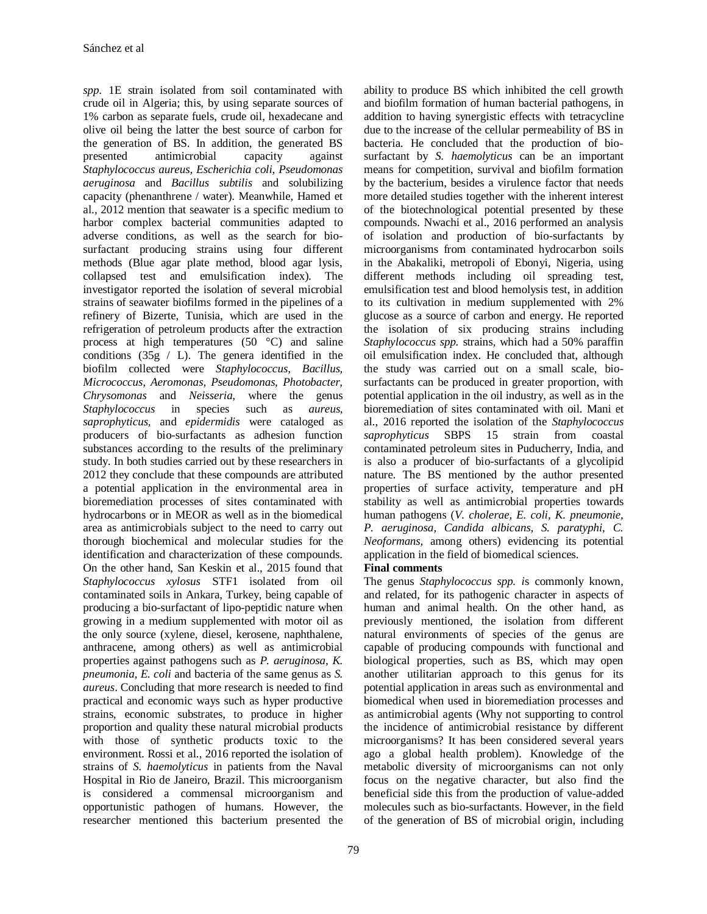*spp.* 1E strain isolated from soil contaminated with crude oil in Algeria; this, by using separate sources of 1% carbon as separate fuels, crude oil, hexadecane and olive oil being the latter the best source of carbon for the generation of BS. In addition, the generated BS presented antimicrobial capacity against *Staphylococcus aureus, Escherichia coli, Pseudomonas aeruginosa* and *Bacillus subtilis* and solubilizing capacity (phenanthrene / water). Meanwhile, Hamed et al., 2012 mention that seawater is a specific medium to harbor complex bacterial communities adapted to adverse conditions, as well as the search for biosurfactant producing strains using four different methods (Blue agar plate method, blood agar lysis, collapsed test and emulsification index). The investigator reported the isolation of several microbial strains of seawater biofilms formed in the pipelines of a refinery of Bizerte, Tunisia, which are used in the refrigeration of petroleum products after the extraction process at high temperatures (50 °C) and saline conditions  $(35g / L)$ . The genera identified in the biofilm collected were *Staphylococcus, Bacillus, Micrococcus, Aeromonas, Pseudomonas, Photobacter, Chrysomonas* and *Neisseria*, where the genus *Staphylococcus* in species such as *aureus, saprophyticus,* and *epidermidis* were cataloged as producers of bio-surfactants as adhesion function substances according to the results of the preliminary study. In both studies carried out by these researchers in 2012 they conclude that these compounds are attributed a potential application in the environmental area in bioremediation processes of sites contaminated with hydrocarbons or in MEOR as well as in the biomedical area as antimicrobials subject to the need to carry out thorough biochemical and molecular studies for the identification and characterization of these compounds. On the other hand, San Keskin et al., 2015 found that *Staphylococcus xylosus* STF1 isolated from oil contaminated soils in Ankara, Turkey, being capable of producing a bio-surfactant of lipo-peptidic nature when growing in a medium supplemented with motor oil as the only source (xylene, diesel, kerosene, naphthalene, anthracene, among others) as well as antimicrobial properties against pathogens such as *P. aeruginosa, K. pneumonia, E. coli* and bacteria of the same genus as *S. aureus*. Concluding that more research is needed to find practical and economic ways such as hyper productive strains, economic substrates, to produce in higher proportion and quality these natural microbial products with those of synthetic products toxic to the environment. Rossi et al., 2016 reported the isolation of strains of *S. haemolyticus* in patients from the Naval Hospital in Rio de Janeiro, Brazil. This microorganism is considered a commensal microorganism and opportunistic pathogen of humans. However, the researcher mentioned this bacterium presented the

ability to produce BS which inhibited the cell growth and biofilm formation of human bacterial pathogens, in addition to having synergistic effects with tetracycline due to the increase of the cellular permeability of BS in bacteria. He concluded that the production of biosurfactant by *S. haemolyticus* can be an important means for competition, survival and biofilm formation by the bacterium, besides a virulence factor that needs more detailed studies together with the inherent interest of the biotechnological potential presented by these compounds. Nwachi et al., 2016 performed an analysis of isolation and production of bio-surfactants by microorganisms from contaminated hydrocarbon soils in the Abakaliki, metropoli of Ebonyi, Nigeria, using different methods including oil spreading test, emulsification test and blood hemolysis test, in addition to its cultivation in medium supplemented with 2% glucose as a source of carbon and energy. He reported the isolation of six producing strains including *Staphylococcus spp.* strains, which had a 50% paraffin oil emulsification index. He concluded that, although the study was carried out on a small scale, biosurfactants can be produced in greater proportion, with potential application in the oil industry, as well as in the bioremediation of sites contaminated with oil. Mani et al., 2016 reported the isolation of the *Staphylococcus saprophyticus* SBPS 15 strain from coastal contaminated petroleum sites in Puducherry, India, and is also a producer of bio-surfactants of a glycolipid nature. The BS mentioned by the author presented properties of surface activity, temperature and pH stability as well as antimicrobial properties towards human pathogens (*V. cholerae, E. coli, K. pneumonie, P. aeruginosa, Candida albicans, S. paratyphi, C. Neoformans,* among others) evidencing its potential application in the field of biomedical sciences.

# **Final comments**

The genus *Staphylococcus spp. i*s commonly known, and related, for its pathogenic character in aspects of human and animal health. On the other hand, as previously mentioned, the isolation from different natural environments of species of the genus are capable of producing compounds with functional and biological properties, such as BS, which may open another utilitarian approach to this genus for its potential application in areas such as environmental and biomedical when used in bioremediation processes and as antimicrobial agents (Why not supporting to control the incidence of antimicrobial resistance by different microorganisms? It has been considered several years ago a global health problem). Knowledge of the metabolic diversity of microorganisms can not only focus on the negative character, but also find the beneficial side this from the production of value-added molecules such as bio-surfactants. However, in the field of the generation of BS of microbial origin, including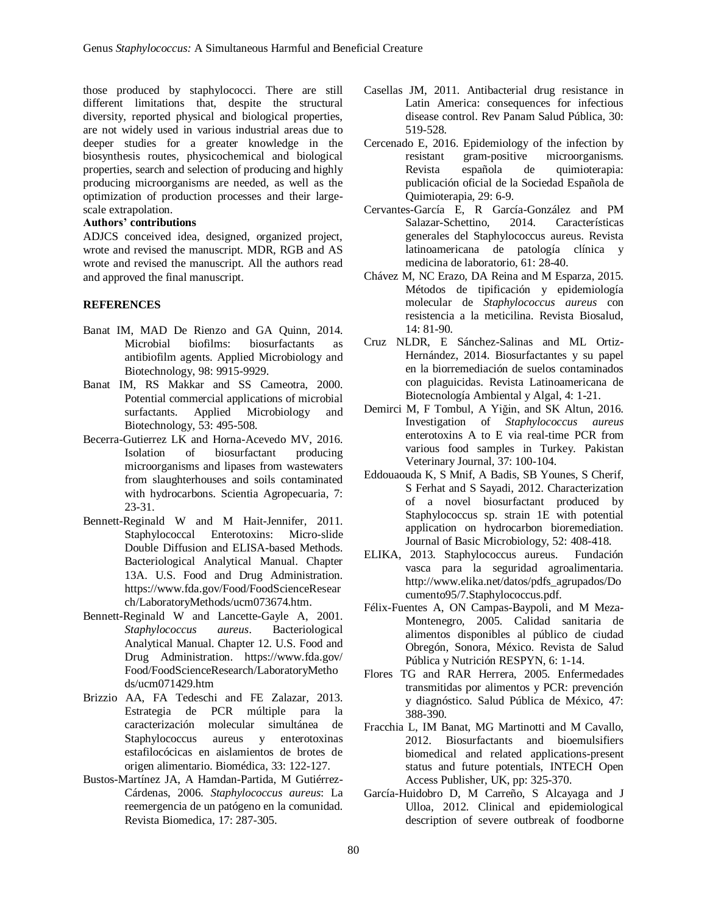those produced by staphylococci. There are still different limitations that, despite the structural diversity, reported physical and biological properties, are not widely used in various industrial areas due to deeper studies for a greater knowledge in the biosynthesis routes, physicochemical and biological properties, search and selection of producing and highly producing microorganisms are needed, as well as the optimization of production processes and their largescale extrapolation.

# **Authors' contributions**

ADJCS conceived idea, designed, organized project, wrote and revised the manuscript. MDR, RGB and AS wrote and revised the manuscript. All the authors read and approved the final manuscript.

### **REFERENCES**

- Banat IM, MAD De Rienzo and GA Quinn, 2014. Microbial biofilms: biosurfactants as antibiofilm agents. Applied Microbiology and Biotechnology, 98: 9915-9929.
- Banat IM, RS Makkar and SS Cameotra, 2000. Potential commercial applications of microbial surfactants. Applied Microbiology and Biotechnology, 53: 495-508.
- Becerra-Gutierrez LK and Horna-Acevedo MV, 2016. Isolation of biosurfactant producing microorganisms and lipases from wastewaters from slaughterhouses and soils contaminated with hydrocarbons. Scientia Agropecuaria, 7: 23-31.
- Bennett-Reginald W and M Hait-Jennifer, 2011. Staphylococcal Enterotoxins: Micro-slide Double Diffusion and ELISA-based Methods. Bacteriological Analytical Manual. Chapter 13A. U.S. Food and Drug Administration. [https://www.fda.gov/Food/FoodScienceResear](https://www.fda.gov/Food/FoodScienceResearch/LaboratoryMethods/ucm073674.htm) [ch/LaboratoryMethods/ucm073674.htm.](https://www.fda.gov/Food/FoodScienceResearch/LaboratoryMethods/ucm073674.htm)
- Bennett-Reginald W and Lancette-Gayle A, 2001. *Staphylococcus aureus*. Bacteriological Analytical Manual. Chapter 12. U.S. Food and Drug Administration. [https://www.fda.gov/](https://www.fda.gov/Food/FoodScienceResearch/LaboratoryMethods/ucm071429.htm) [Food/FoodScienceResearch/LaboratoryMetho](https://www.fda.gov/Food/FoodScienceResearch/LaboratoryMethods/ucm071429.htm) [ds/ucm071429.htm](https://www.fda.gov/Food/FoodScienceResearch/LaboratoryMethods/ucm071429.htm)
- Brizzio AA, FA Tedeschi and FE Zalazar, 2013. Estrategia de PCR múltiple para la caracterización molecular simultánea de Staphylococcus aureus y enterotoxinas estafilocócicas en aislamientos de brotes de origen alimentario. Biomédica, 33: 122-127.
- Bustos-Martínez JA, A Hamdan-Partida, M Gutiérrez-Cárdenas, 2006. *Staphylococcus aureus*: La reemergencia de un patógeno en la comunidad. Revista Biomedica, 17: 287-305.
- Casellas JM, 2011. Antibacterial drug resistance in Latin America: consequences for infectious disease control. Rev Panam Salud Pública, 30: 519-528.
- Cercenado E, 2016. Epidemiology of the infection by resistant gram-positive microorganisms. Revista española de quimioterapia: publicación oficial de la Sociedad Española de Quimioterapia, 29: 6-9.
- Cervantes-García E, R García-González and PM Salazar-Schettino, 2014. Características generales del Staphylococcus aureus. Revista latinoamericana de patología clínica y medicina de laboratorio, 61: 28-40.
- Chávez M, NC Erazo, DA Reina and M Esparza, 2015. Métodos de tipificación y epidemiología molecular de *Staphylococcus aureus* con resistencia a la meticilina. Revista Biosalud, 14: 81-90.
- Cruz NLDR, E Sánchez-Salinas and ML Ortiz-Hernández, 2014. Biosurfactantes y su papel en la biorremediación de suelos contaminados con plaguicidas. Revista Latinoamericana de Biotecnología Ambiental y Algal, 4: 1-21.
- Demirci M, F Tombul, A Yiğin, and SK Altun, 2016. Investigation of *Staphylococcus aureus* enterotoxins A to E via real-time PCR from various food samples in Turkey. Pakistan Veterinary Journal, 37: 100-104.
- Eddouaouda K, S Mnif, A Badis, SB Younes, S Cherif, S Ferhat and S Sayadi, 2012. Characterization of a novel biosurfactant produced by Staphylococcus sp. strain 1E with potential application on hydrocarbon bioremediation. Journal of Basic Microbiology, 52: 408-418.
- ELIKA, 2013. Staphylococcus aureus. Fundación vasca para la seguridad agroalimentaria. [http://www.elika.net/datos/pdfs\\_agrupados/Do](http://www.elika.net/datos/pdfs_agrupados/Documento95/7.Staphylococcus.pdf) [cumento95/7.Staphylococcus.pdf.](http://www.elika.net/datos/pdfs_agrupados/Documento95/7.Staphylococcus.pdf)
- Félix-Fuentes A, ON Campas-Baypoli, and M Meza-Montenegro, 2005. Calidad sanitaria de alimentos disponibles al público de ciudad Obregón, Sonora, México. Revista de Salud Pública y Nutrición RESPYN, 6: 1-14.
- Flores TG and RAR Herrera, 2005. Enfermedades transmitidas por alimentos y PCR: prevención y diagnóstico. Salud Pública de México, 47: 388-390.
- Fracchia L, IM Banat, MG Martinotti and M Cavallo, 2012. Biosurfactants and bioemulsifiers biomedical and related applications-present status and future potentials, INTECH Open Access Publisher, UK, pp: 325-370.
- García-Huidobro D, M Carreño, S Alcayaga and J Ulloa, 2012. Clinical and epidemiological description of severe outbreak of foodborne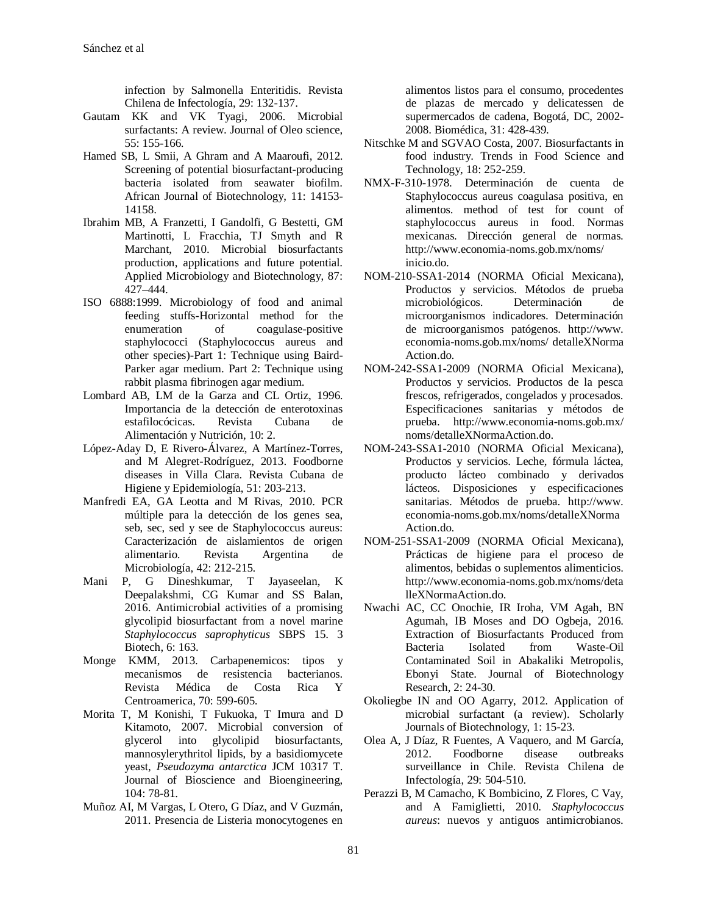infection by Salmonella Enteritidis. Revista Chilena de Infectología, 29: 132-137.

- Gautam KK and VK Tyagi, 2006. Microbial surfactants: A review. Journal of Oleo science, 55: 155-166.
- Hamed SB, L Smii, A Ghram and A Maaroufi, 2012. Screening of potential biosurfactant-producing bacteria isolated from seawater biofilm. African Journal of Biotechnology, 11: 14153- 14158.
- Ibrahim MB, A Franzetti, I Gandolfi, G Bestetti, GM Martinotti, L Fracchia, TJ Smyth and R Marchant, 2010. Microbial biosurfactants production, applications and future potential. Applied Microbiology and Biotechnology, 87: 427–444.
- ISO 6888:1999. Microbiology of food and animal feeding stuffs-Horizontal method for the enumeration of coagulase-positive staphylococci (Staphylococcus aureus and other species)-Part 1: Technique using Baird-Parker agar medium. Part 2: Technique using rabbit plasma fibrinogen agar medium.
- Lombard AB, LM de la Garza and CL Ortiz, 1996. Importancia de la detección de enterotoxinas estafilocócicas. Revista Cubana de Alimentación y Nutrición, 10: 2.
- López-Aday D, E Rivero-Álvarez, A Martínez-Torres, and M Alegret-Rodríguez, 2013. Foodborne diseases in Villa Clara. Revista Cubana de Higiene y Epidemiología, 51: 203-213.
- Manfredi EA, GA Leotta and M Rivas, 2010. PCR múltiple para la detección de los genes sea, seb, sec, sed y see de Staphylococcus aureus: Caracterización de aislamientos de origen alimentario. Revista Argentina de Microbiología, 42: 212-215.
- Mani P, G Dineshkumar, T Jayaseelan, K Deepalakshmi, CG Kumar and SS Balan, 2016. Antimicrobial activities of a promising glycolipid biosurfactant from a novel marine *Staphylococcus saprophyticus* SBPS 15. 3 Biotech, 6: 163.
- Monge KMM, 2013. Carbapenemicos: tipos y mecanismos de resistencia bacterianos. Revista Médica de Costa Rica Y Centroamerica, 70: 599-605.
- Morita T, M Konishi, T Fukuoka, T Imura and D Kitamoto, 2007. Microbial conversion of glycerol into glycolipid biosurfactants, mannosylerythritol lipids, by a basidiomycete yeast, *Pseudozyma antarctica* JCM 10317 T. Journal of Bioscience and Bioengineering, 104: 78-81.
- Muñoz AI, M Vargas, L Otero, G Díaz, and V Guzmán, 2011. Presencia de Listeria monocytogenes en

alimentos listos para el consumo, procedentes de plazas de mercado y delicatessen de supermercados de cadena, Bogotá, DC, 2002- 2008. Biomédica, 31: 428-439.

- Nitschke M and SGVAO Costa, 2007. Biosurfactants in food industry. Trends in Food Science and Technology, 18: 252-259.
- NMX-F-310-1978. Determinación de cuenta de Staphylococcus aureus coagulasa positiva, en alimentos. method of test for count of staphylococcus aureus in food. Normas mexicanas. Dirección general de normas. [http://www.economia-noms.gob.mx/noms/](http://www.economia-noms.gob.mx/noms/inicio.do) [inicio.do.](http://www.economia-noms.gob.mx/noms/inicio.do)
- NOM-210-SSA1-2014 (NORMA Oficial Mexicana), Productos y servicios. Métodos de prueba microbiológicos. Determinación de microorganismos indicadores. Determinación de microorganismos patógenos. [http://www.](http://www.economia-noms.gob.mx/noms/detalleXNormaAction.do) [economia-noms.gob.mx/noms/](http://www.economia-noms.gob.mx/noms/detalleXNormaAction.do) detalleXNorma [Action.do.](http://www.economia-noms.gob.mx/noms/detalleXNormaAction.do)
- NOM-242-SSA1-2009 (NORMA Oficial Mexicana), Productos y servicios. Productos de la pesca frescos, refrigerados, congelados y procesados. Especificaciones sanitarias y métodos de prueba. http://www.economia-noms.gob.mx/ noms/detalleXNormaAction.do.
- NOM-243-SSA1-2010 (NORMA Oficial Mexicana), Productos y servicios. Leche, fórmula láctea, producto lácteo combinado y derivados lácteos. Disposiciones y especificaciones sanitarias. Métodos de prueba. http://www. economia-noms.gob.mx/noms/detalleXNorma Action.do.
- NOM-251-SSA1-2009 (NORMA Oficial Mexicana), Prácticas de higiene para el proceso de alimentos, bebidas o suplementos alimenticios. http://www.economia-noms.gob.mx/noms/deta lleXNormaAction.do.
- Nwachi AC, CC Onochie, IR Iroha, VM Agah, BN Agumah, IB Moses and DO Ogbeja, 2016. Extraction of Biosurfactants Produced from Bacteria Isolated from Waste-Oil Contaminated Soil in Abakaliki Metropolis, Ebonyi State. Journal of Biotechnology Research, 2: 24-30.
- Okoliegbe IN and OO Agarry, 2012. Application of microbial surfactant (a review). Scholarly Journals of Biotechnology, 1: 15-23.
- Olea A, J Díaz, R Fuentes, A Vaquero, and M García, 2012. Foodborne disease outbreaks surveillance in Chile. Revista Chilena de Infectología, 29: 504-510.
- Perazzi B, M Camacho, K Bombicino, Z Flores, C Vay, and A Famiglietti, 2010. *Staphylococcus aureus*: nuevos y antiguos antimicrobianos.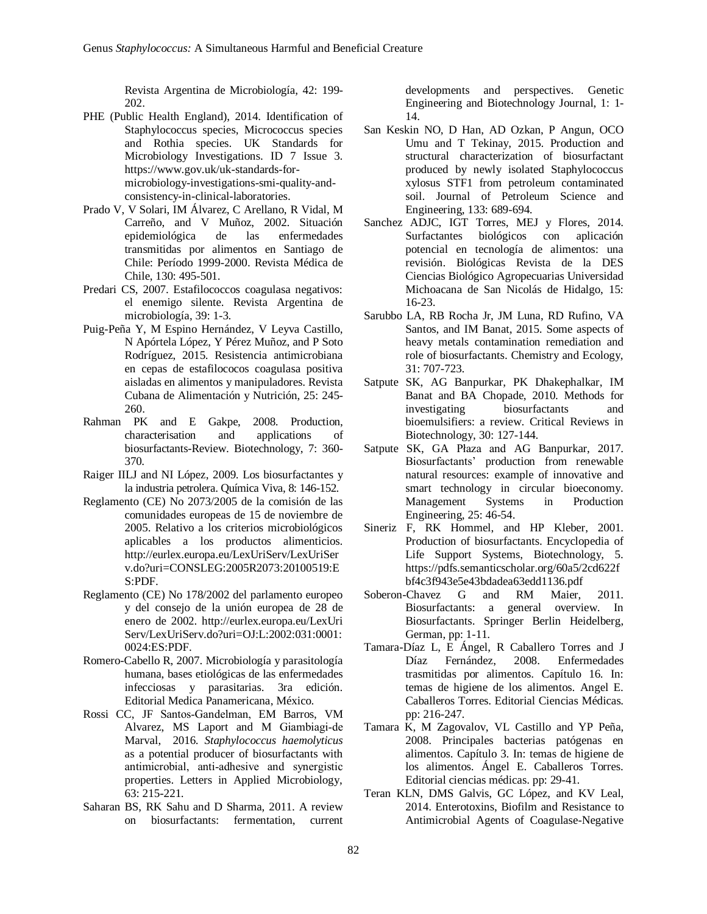Revista Argentina de Microbiología, 42: 199- 202.

- PHE (Public Health England), 2014. Identification of Staphylococcus species, Micrococcus species and Rothia species. UK Standards for Microbiology Investigations. ID 7 Issue 3. [https://www.gov.uk/uk-standards-for](https://www.gov.uk/uk-standards-for-microbiology-investigations-smi-quality-and-consistency-in-clinical-laboratories)[microbiology-investigations-smi-quality-and](https://www.gov.uk/uk-standards-for-microbiology-investigations-smi-quality-and-consistency-in-clinical-laboratories)[consistency-in-clinical-laboratories.](https://www.gov.uk/uk-standards-for-microbiology-investigations-smi-quality-and-consistency-in-clinical-laboratories)
- Prado V, V Solari, IM Álvarez, C Arellano, R Vidal, M Carreño, and V Muñoz, 2002. Situación epidemiológica de las enfermedades transmitidas por alimentos en Santiago de Chile: Período 1999-2000. Revista Médica de Chile, 130: 495-501.
- Predari CS, 2007. Estafilococcos coagulasa negativos: el enemigo silente. Revista Argentina de microbiología, 39: 1-3.
- Puig-Peña Y, M Espino Hernández, V Leyva Castillo, N Apórtela López, Y Pérez Muñoz, and P Soto Rodríguez, 2015. Resistencia antimicrobiana en cepas de estafilococos coagulasa positiva aisladas en alimentos y manipuladores. Revista Cubana de Alimentación y Nutrición, 25: 245- 260.
- Rahman PK and E Gakpe, 2008. Production, characterisation and applications of biosurfactants-Review. Biotechnology, 7: 360- 370.
- Raiger IILJ and NI López, 2009. Los biosurfactantes y la industria petrolera. Química Viva, 8: 146-152.
- Reglamento (CE) No 2073/2005 de la comisión de las comunidades europeas de 15 de noviembre de 2005. Relativo a los criterios microbiológicos aplicables a los productos alimenticios. [http://eurlex.europa.eu/LexUriServ/LexUriSer](http://eurlex.europa.eu/LexUriServ/LexUriServ.do?uri=CONSLEG:2005R2073:20100519:ES:PDF) [v.do?uri=CONSLEG:2005R2073:20100519:E](http://eurlex.europa.eu/LexUriServ/LexUriServ.do?uri=CONSLEG:2005R2073:20100519:ES:PDF) [S:PDF.](http://eurlex.europa.eu/LexUriServ/LexUriServ.do?uri=CONSLEG:2005R2073:20100519:ES:PDF)
- Reglamento (CE) No 178/2002 del parlamento europeo y del consejo de la unión europea de 28 de enero de 2002. [http://eurlex.europa.eu/LexUri](http://eurlex.europa.eu/LexUriServ/LexUriServ.do?uri=OJ:L:2002:031:0001:0024:ES:PDF) [Serv/LexUriServ.do?uri=OJ:L:2002:031:0001:](http://eurlex.europa.eu/LexUriServ/LexUriServ.do?uri=OJ:L:2002:031:0001:0024:ES:PDF) [0024:ES:PDF.](http://eurlex.europa.eu/LexUriServ/LexUriServ.do?uri=OJ:L:2002:031:0001:0024:ES:PDF)
- Romero-Cabello R, 2007. Microbiología y parasitología humana, bases etiológicas de las enfermedades infecciosas y parasitarias. 3ra edición. Editorial Medica Panamericana, México.
- Rossi CC, JF Santos‐Gandelman, EM Barros, VM Alvarez, MS Laport and M Giambiagi‐de Marval, 2016. *Staphylococcus haemolyticus* as a potential producer of biosurfactants with antimicrobial, anti‐adhesive and synergistic properties. Letters in Applied Microbiology, 63: 215-221.
- Saharan BS, RK Sahu and D Sharma, 2011. A review on biosurfactants: fermentation, current

developments and perspectives. Genetic Engineering and Biotechnology Journal, 1: 1- 14.

- San Keskin NO, D Han, AD Ozkan, P Angun, OCO Umu and T Tekinay, 2015. Production and structural characterization of biosurfactant produced by newly isolated Staphylococcus xylosus STF1 from petroleum contaminated soil. Journal of Petroleum Science and Engineering, 133: 689-694.
- Sanchez ADJC, IGT Torres, MEJ y Flores, 2014. Surfactantes biológicos con aplicación potencial en tecnología de alimentos: una revisión. Biológicas Revista de la DES Ciencias Biológico Agropecuarias Universidad Michoacana de San Nicolás de Hidalgo, 15: 16-23.
- Sarubbo LA, RB Rocha Jr, JM Luna, RD Rufino, VA Santos, and IM Banat, 2015. Some aspects of heavy metals contamination remediation and role of biosurfactants. Chemistry and Ecology, 31: 707-723.
- Satpute SK, AG Banpurkar, PK Dhakephalkar, IM Banat and BA Chopade, 2010. Methods for investigating biosurfactants and bioemulsifiers: a review. Critical Reviews in Biotechnology, 30: 127-144.
- Satpute SK, GA Płaza and AG Banpurkar, 2017. Biosurfactants' production from renewable natural resources: example of innovative and smart technology in circular bioeconomy. Management Systems in Production Engineering, 25: 46-54.
- Sineriz F, RK Hommel, and HP Kleber, 2001. Production of biosurfactants. Encyclopedia of Life Support Systems, Biotechnology, 5. [https://pdfs.semanticscholar.org/60a5/2cd622f](https://pdfs.semanticscholar.org/60a5/2cd622fbf4c3f943e5e43bdadea63edd1136.pdf) [bf4c3f943e5e43bdadea63edd1136.pdf](https://pdfs.semanticscholar.org/60a5/2cd622fbf4c3f943e5e43bdadea63edd1136.pdf)
- Soberon-Chavez G and RM Maier, 2011. Biosurfactants: a general overview. In Biosurfactants. Springer Berlin Heidelberg, German, pp: 1-11.
- Tamara-Díaz L, E Ángel, R Caballero Torres and J Díaz Fernández, 2008. Enfermedades trasmitidas por alimentos. Capítulo 16. In: temas de higiene de los alimentos. Angel E. Caballeros Torres. Editorial Ciencias Médicas. pp: 216-247.
- Tamara K, M Zagovalov, VL Castillo and YP Peña, 2008. Principales bacterias patógenas en alimentos. Capítulo 3. In: temas de higiene de los alimentos. Ángel E. Caballeros Torres. Editorial ciencias médicas. pp: 29-41.
- Teran KLN, DMS Galvis, GC López, and KV Leal, 2014. Enterotoxins, Biofilm and Resistance to Antimicrobial Agents of Coagulase-Negative